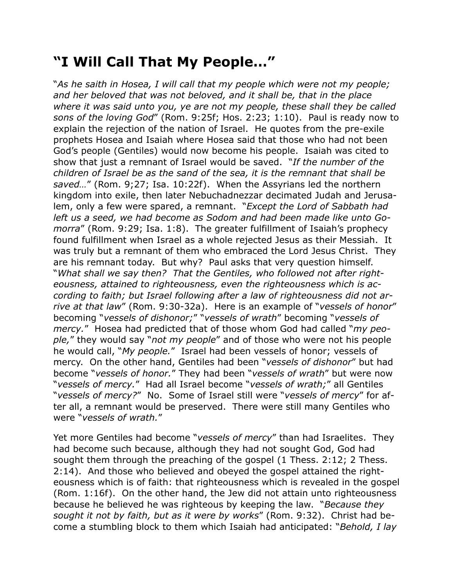## **"I Will Call That My People…"**

"*As he saith in Hosea, I will call that my people which were not my people; and her beloved that was not beloved, and it shall be, that in the place where it was said unto you, ye are not my people, these shall they be called sons of the loving God*" (Rom. 9:25f; Hos. 2:23; 1:10). Paul is ready now to explain the rejection of the nation of Israel. He quotes from the pre-exile prophets Hosea and Isaiah where Hosea said that those who had not been God's people (Gentiles) would now become his people. Isaiah was cited to show that just a remnant of Israel would be saved. "*If the number of the children of Israel be as the sand of the sea, it is the remnant that shall be saved…*" (Rom. 9;27; Isa. 10:22f). When the Assyrians led the northern kingdom into exile, then later Nebuchadnezzar decimated Judah and Jerusalem, only a few were spared, a remnant. "*Except the Lord of Sabbath had left us a seed, we had become as Sodom and had been made like unto Gomorra*" (Rom. 9:29; Isa. 1:8). The greater fulfillment of Isaiah's prophecy found fulfillment when Israel as a whole rejected Jesus as their Messiah. It was truly but a remnant of them who embraced the Lord Jesus Christ. They are his remnant today. But why? Paul asks that very question himself. "*What shall we say then? That the Gentiles, who followed not after righteousness, attained to righteousness, even the righteousness which is according to faith; but Israel following after a law of righteousness did not arrive at that law*" (Rom. 9:30-32a). Here is an example of "*vessels of honor*" becoming "*vessels of dishonor;*" "*vessels of wrath*" becoming "*vessels of mercy.*" Hosea had predicted that of those whom God had called "*my people,*" they would say "*not my people*" and of those who were not his people he would call, "*My people.*" Israel had been vessels of honor; vessels of mercy. On the other hand, Gentiles had been "*vessels of dishonor*" but had become "*vessels of honor.*" They had been "*vessels of wrath*" but were now "*vessels of mercy.*" Had all Israel become "*vessels of wrath;*" all Gentiles "*vessels of mercy?*" No. Some of Israel still were "*vessels of mercy*" for after all, a remnant would be preserved. There were still many Gentiles who were "*vessels of wrath.*"

Yet more Gentiles had become "*vessels of mercy*" than had Israelites. They had become such because, although they had not sought God, God had sought them through the preaching of the gospel (1 Thess. 2:12; 2 Thess. 2:14). And those who believed and obeyed the gospel attained the righteousness which is of faith: that righteousness which is revealed in the gospel (Rom. 1:16f). On the other hand, the Jew did not attain unto righteousness because he believed he was righteous by keeping the law. "*Because they sought it not by faith, but as it were by works*" (Rom. 9:32). Christ had become a stumbling block to them which Isaiah had anticipated: "*Behold, I lay*